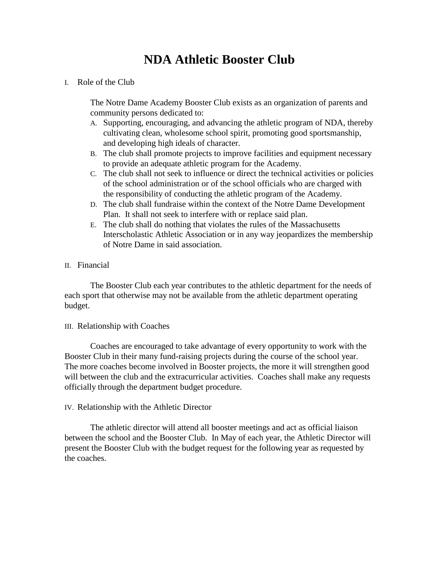# **NDA Athletic Booster Club**

I. Role of the Club

The Notre Dame Academy Booster Club exists as an organization of parents and community persons dedicated to:

- A. Supporting, encouraging, and advancing the athletic program of NDA, thereby cultivating clean, wholesome school spirit, promoting good sportsmanship, and developing high ideals of character.
- B. The club shall promote projects to improve facilities and equipment necessary to provide an adequate athletic program for the Academy.
- C. The club shall not seek to influence or direct the technical activities or policies of the school administration or of the school officials who are charged with the responsibility of conducting the athletic program of the Academy.
- D. The club shall fundraise within the context of the Notre Dame Development Plan. It shall not seek to interfere with or replace said plan.
- E. The club shall do nothing that violates the rules of the Massachusetts Interscholastic Athletic Association or in any way jeopardizes the membership of Notre Dame in said association.
- II. Financial

The Booster Club each year contributes to the athletic department for the needs of each sport that otherwise may not be available from the athletic department operating budget.

III. Relationship with Coaches

Coaches are encouraged to take advantage of every opportunity to work with the Booster Club in their many fund-raising projects during the course of the school year. The more coaches become involved in Booster projects, the more it will strengthen good will between the club and the extracurricular activities. Coaches shall make any requests officially through the department budget procedure.

IV. Relationship with the Athletic Director

The athletic director will attend all booster meetings and act as official liaison between the school and the Booster Club. In May of each year, the Athletic Director will present the Booster Club with the budget request for the following year as requested by the coaches.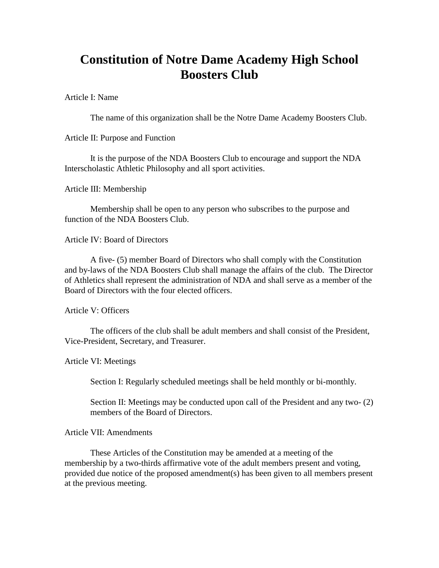# **Constitution of Notre Dame Academy High School Boosters Club**

Article I: Name

The name of this organization shall be the Notre Dame Academy Boosters Club.

Article II: Purpose and Function

It is the purpose of the NDA Boosters Club to encourage and support the NDA Interscholastic Athletic Philosophy and all sport activities.

Article III: Membership

Membership shall be open to any person who subscribes to the purpose and function of the NDA Boosters Club.

Article IV: Board of Directors

A five- (5) member Board of Directors who shall comply with the Constitution and by-laws of the NDA Boosters Club shall manage the affairs of the club. The Director of Athletics shall represent the administration of NDA and shall serve as a member of the Board of Directors with the four elected officers.

Article V: Officers

The officers of the club shall be adult members and shall consist of the President, Vice-President, Secretary, and Treasurer.

Article VI: Meetings

Section I: Regularly scheduled meetings shall be held monthly or bi-monthly.

Section II: Meetings may be conducted upon call of the President and any two- (2) members of the Board of Directors.

Article VII: Amendments

These Articles of the Constitution may be amended at a meeting of the membership by a two-thirds affirmative vote of the adult members present and voting, provided due notice of the proposed amendment(s) has been given to all members present at the previous meeting.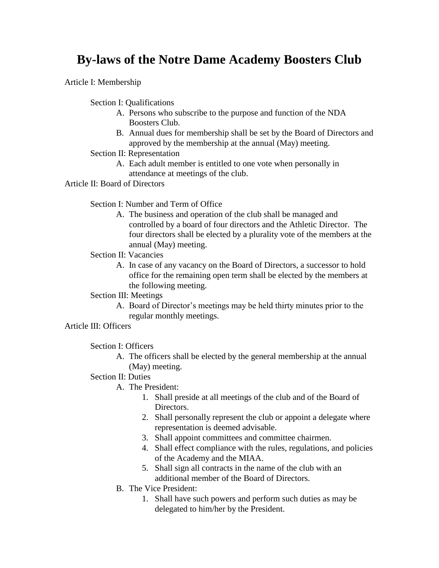# **By-laws of the Notre Dame Academy Boosters Club**

Article I: Membership

Section I: Qualifications

- A. Persons who subscribe to the purpose and function of the NDA Boosters Club.
- B. Annual dues for membership shall be set by the Board of Directors and approved by the membership at the annual (May) meeting.
- Section II: Representation
	- A. Each adult member is entitled to one vote when personally in attendance at meetings of the club.

### Article II: Board of Directors

Section I: Number and Term of Office

A. The business and operation of the club shall be managed and controlled by a board of four directors and the Athletic Director. The four directors shall be elected by a plurality vote of the members at the annual (May) meeting.

### Section II: Vacancies

A. In case of any vacancy on the Board of Directors, a successor to hold office for the remaining open term shall be elected by the members at the following meeting.

## Section III: Meetings

A. Board of Director's meetings may be held thirty minutes prior to the regular monthly meetings.

### Article III: Officers

Section I: Officers

- A. The officers shall be elected by the general membership at the annual (May) meeting.
- Section II: Duties
	- A. The President:
		- 1. Shall preside at all meetings of the club and of the Board of Directors.
		- 2. Shall personally represent the club or appoint a delegate where representation is deemed advisable.
		- 3. Shall appoint committees and committee chairmen.
		- 4. Shall effect compliance with the rules, regulations, and policies of the Academy and the MIAA.
		- 5. Shall sign all contracts in the name of the club with an additional member of the Board of Directors.
	- B. The Vice President:
		- 1. Shall have such powers and perform such duties as may be delegated to him/her by the President.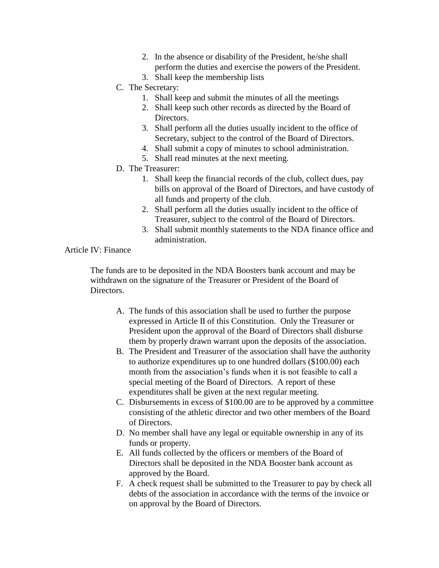- 2. In the absence or disability of the President, he/she shall perform the duties and exercise the powers of the President.
- 3. Shall keep the membership lists
- C. The Secretary:
	- 1. Shall keep and submit the minutes of all the meetings
	- 2. Shall keep such other records as directed by the Board of Directors.
	- 3. Shall perform all the duties usually incident to the office of Secretary, subject to the control of the Board of Directors.
	- 4. Shall submit a copy of minutes to school administration.
	- 5. Shall read minutes at the next meeting.
- D. The Treasurer:
	- 1. Shall keep the financial records of the club, collect dues, pay bills on approval of the Board of Directors, and have custody of all funds and property of the club.
	- 2. Shall perform all the duties usually incident to the office of Treasurer, subject to the control of the Board of Directors.
	- 3. Shall submit monthly statements to the NDA finance office and administration.

# Article IV: Finance

The funds are to be deposited in the NDA Boosters bank account and may be withdrawn on the signature of the Treasurer or President of the Board of Directors.

- A. The funds of this association shall be used to further the purpose expressed in Article II of this Constitution. Only the Treasurer or President upon the approval of the Board of Directors shall disburse them by properly drawn warrant upon the deposits of the association.
- B. The President and Treasurer of the association shall have the authority to authorize expenditures up to one hundred dollars (\$100.00) each month from the association's funds when it is not feasible to call a special meeting of the Board of Directors. A report of these expenditures shall be given at the next regular meeting.
- C. Disbursements in excess of \$100.00 are to be approved by a committee consisting of the athletic director and two other members of the Board of Directors.
- D. No member shall have any legal or equitable ownership in any of its funds or property.
- E. All funds collected by the officers or members of the Board of Directors shall be deposited in the NDA Booster bank account as approved by the Board.
- F. A check request shall be submitted to the Treasurer to pay by check all debts of the association in accordance with the terms of the invoice or on approval by the Board of Directors.